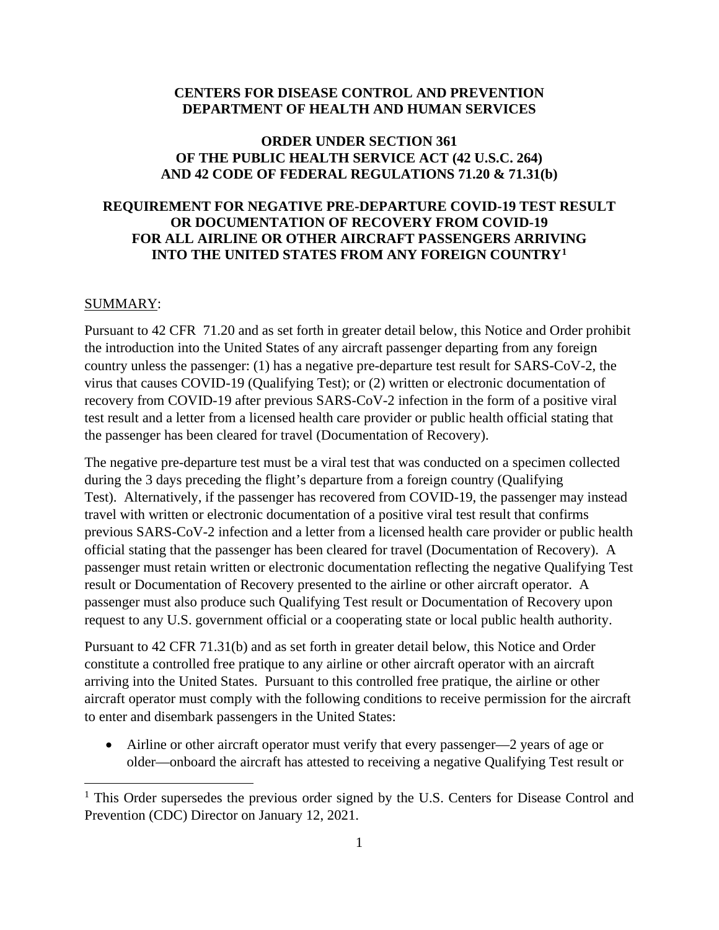#### **CENTERS FOR DISEASE CONTROL AND PREVENTION DEPARTMENT OF HEALTH AND HUMAN SERVICES**

#### **ORDER UNDER SECTION 361 OF THE PUBLIC HEALTH SERVICE ACT (42 U.S.C. 264) AND 42 CODE OF FEDERAL REGULATIONS 71.20 & 71.31(b)**

## **REQUIREMENT FOR NEGATIVE PRE-DEPARTURE COVID-19 TEST RESULT OR DOCUMENTATION OF RECOVERY FROM COVID-19 FOR ALL AIRLINE OR OTHER AIRCRAFT PASSENGERS ARRIVING INTO THE UNITED STATES FROM ANY FOREIGN COUNTRY[1](#page-0-0)**

#### SUMMARY:

Pursuant to 42 CFR 71.20 and as set forth in greater detail below, this Notice and Order prohibit the introduction into the United States of any aircraft passenger departing from any foreign country unless the passenger: (1) has a negative pre-departure test result for SARS-CoV-2, the virus that causes COVID-19 (Qualifying Test); or (2) written or electronic documentation of recovery from COVID-19 after previous SARS-CoV-2 infection in the form of a positive viral test result and a letter from a licensed health care provider or public health official stating that the passenger has been cleared for travel (Documentation of Recovery).

The negative pre-departure test must be a viral test that was conducted on a specimen collected during the 3 days preceding the flight's departure from a foreign country (Qualifying Test). Alternatively, if the passenger has recovered from COVID-19, the passenger may instead travel with written or electronic documentation of a positive viral test result that confirms previous SARS-CoV-2 infection and a letter from a licensed health care provider or public health official stating that the passenger has been cleared for travel (Documentation of Recovery). A passenger must retain written or electronic documentation reflecting the negative Qualifying Test result or Documentation of Recovery presented to the airline or other aircraft operator. A passenger must also produce such Qualifying Test result or Documentation of Recovery upon request to any U.S. government official or a cooperating state or local public health authority.

Pursuant to 42 CFR 71.31(b) and as set forth in greater detail below, this Notice and Order constitute a controlled free pratique to any airline or other aircraft operator with an aircraft arriving into the United States. Pursuant to this controlled free pratique, the airline or other aircraft operator must comply with the following conditions to receive permission for the aircraft to enter and disembark passengers in the United States:

• Airline or other aircraft operator must verify that every passenger—2 years of age or older—onboard the aircraft has attested to receiving a negative Qualifying Test result or

<span id="page-0-0"></span><sup>&</sup>lt;sup>1</sup> This Order supersedes the previous order signed by the U.S. Centers for Disease Control and Prevention (CDC) Director on January 12, 2021.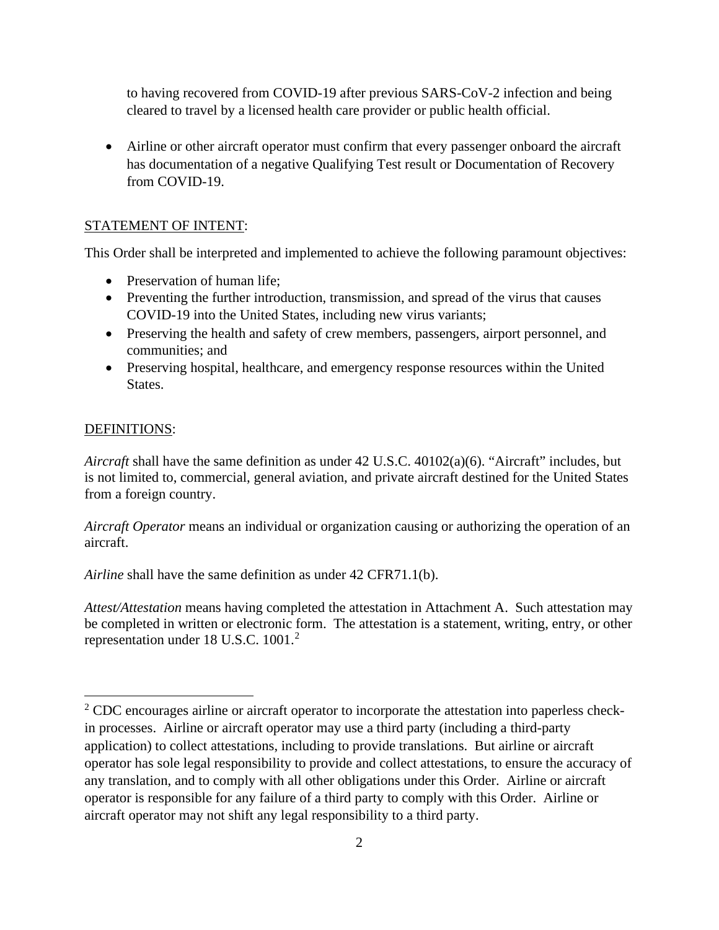to having recovered from COVID-19 after previous SARS-CoV-2 infection and being cleared to travel by a licensed health care provider or public health official.

• Airline or other aircraft operator must confirm that every passenger onboard the aircraft has documentation of a negative Qualifying Test result or Documentation of Recovery from COVID-19.

# STATEMENT OF INTENT:

This Order shall be interpreted and implemented to achieve the following paramount objectives:

- Preservation of human life:
- Preventing the further introduction, transmission, and spread of the virus that causes COVID-19 into the United States, including new virus variants;
- Preserving the health and safety of crew members, passengers, airport personnel, and communities; and
- Preserving hospital, healthcare, and emergency response resources within the United States.

## DEFINITIONS:

*Aircraft* shall have the same definition as under 42 U.S.C. 40102(a)(6). "Aircraft" includes, but is not limited to, commercial, general aviation, and private aircraft destined for the United States from a foreign country.

*Aircraft Operator* means an individual or organization causing or authorizing the operation of an aircraft.

*Airline* shall have the same definition as under 42 CFR71.1(b).

*Attest/Attestation* means having completed the attestation in Attachment A. Such attestation may be completed in written or electronic form. The attestation is a statement, writing, entry, or other representation under 18 U.S.C.  $1001<sup>2</sup>$  $1001<sup>2</sup>$  $1001<sup>2</sup>$ 

<span id="page-1-0"></span><sup>&</sup>lt;sup>2</sup> CDC encourages airline or aircraft operator to incorporate the attestation into paperless checkin processes. Airline or aircraft operator may use a third party (including a third-party application) to collect attestations, including to provide translations. But airline or aircraft operator has sole legal responsibility to provide and collect attestations, to ensure the accuracy of any translation, and to comply with all other obligations under this Order. Airline or aircraft operator is responsible for any failure of a third party to comply with this Order. Airline or aircraft operator may not shift any legal responsibility to a third party.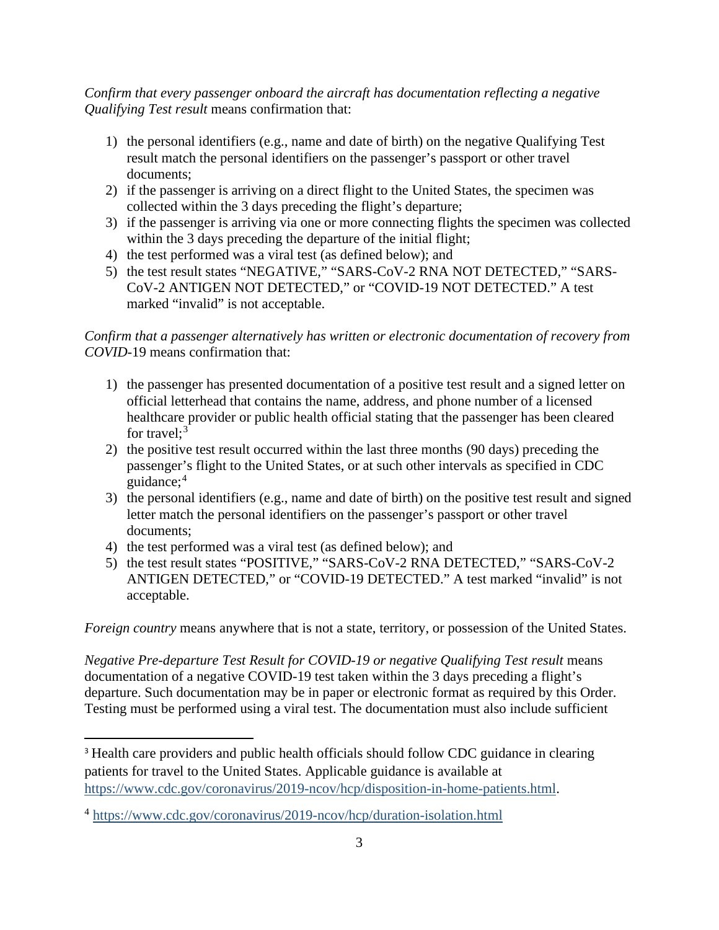*Confirm that every passenger onboard the aircraft has documentation reflecting a negative Qualifying Test result* means confirmation that:

- 1) the personal identifiers (e.g., name and date of birth) on the negative Qualifying Test result match the personal identifiers on the passenger's passport or other travel documents;
- 2) if the passenger is arriving on a direct flight to the United States, the specimen was collected within the 3 days preceding the flight's departure;
- 3) if the passenger is arriving via one or more connecting flights the specimen was collected within the 3 days preceding the departure of the initial flight;
- 4) the test performed was a viral test (as defined below); and
- 5) the test result states "NEGATIVE," "SARS-CoV-2 RNA NOT DETECTED," "SARS-CoV-2 ANTIGEN NOT DETECTED," or "COVID-19 NOT DETECTED." A test marked "invalid" is not acceptable.

## *Confirm that a passenger alternatively has written or electronic documentation of recovery from COVID-*19 means confirmation that:

- 1) the passenger has presented documentation of a positive test result and a signed letter on official letterhead that contains the name, address, and phone number of a licensed healthcare provider or public health official stating that the passenger has been cleared for travel;<sup>[3](#page-2-0)</sup>
- 2) the positive test result occurred within the last three months (90 days) preceding the passenger's flight to the United States, or at such other intervals as specified in CDC guidance; [4](#page-2-1)
- 3) the personal identifiers (e.g., name and date of birth) on the positive test result and signed letter match the personal identifiers on the passenger's passport or other travel documents;
- 4) the test performed was a viral test (as defined below); and
- 5) the test result states "POSITIVE," "SARS-CoV-2 RNA DETECTED," "SARS-CoV-2 ANTIGEN DETECTED," or "COVID-19 DETECTED." A test marked "invalid" is not acceptable.

*Foreign country* means anywhere that is not a state, territory, or possession of the United States.

*Negative Pre-departure Test Result for COVID-19 or negative Qualifying Test result means* documentation of a negative COVID-19 test taken within the 3 days preceding a flight's departure. Such documentation may be in paper or electronic format as required by this Order. Testing must be performed using a viral test. The documentation must also include sufficient

<span id="page-2-0"></span><sup>&</sup>lt;sup>3</sup> Health care providers and public health officials should follow CDC guidance in clearing patients for travel to the United States. Applicable guidance is available at [https://www.cdc.gov/coronavirus/2019-ncov/hcp/disposition-in-home-patients.html.](https://www.cdc.gov/coronavirus/2019-ncov/hcp/disposition-in-home-patients.html)

<span id="page-2-1"></span><sup>4</sup> <https://www.cdc.gov/coronavirus/2019-ncov/hcp/duration-isolation.html>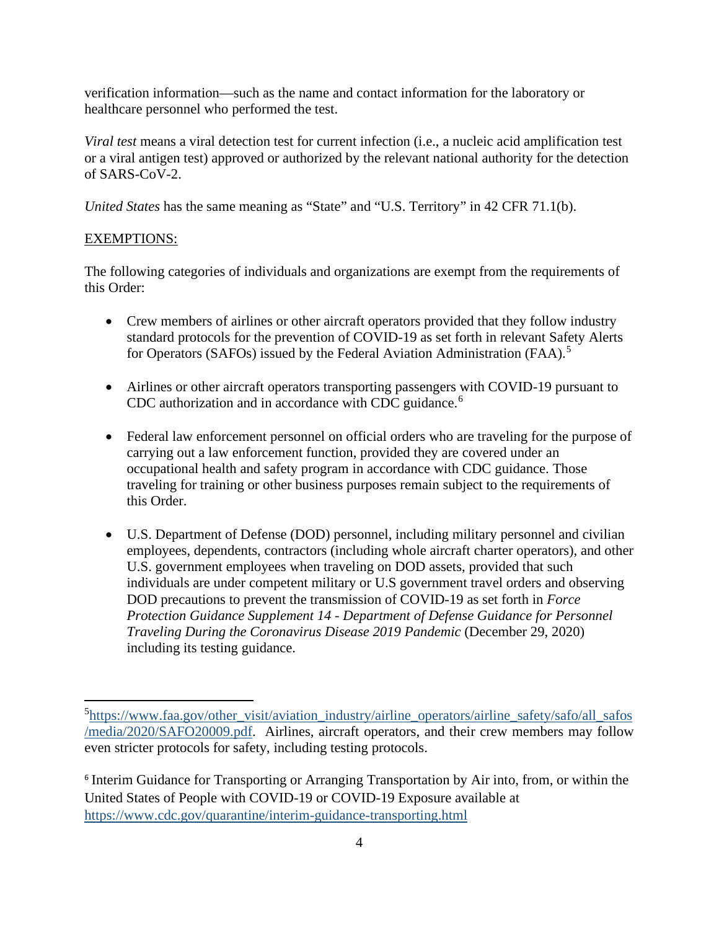verification information—such as the name and contact information for the laboratory or healthcare personnel who performed the test.

*Viral test* means a viral detection test for current infection (i.e., a nucleic acid amplification test or a viral antigen test) approved or authorized by the relevant national authority for the detection of SARS-CoV-2.

*United States* has the same meaning as "State" and "U.S. Territory" in 42 CFR 71.1(b).

## EXEMPTIONS:

The following categories of individuals and organizations are exempt from the requirements of this Order:

- Crew members of airlines or other aircraft operators provided that they follow industry standard protocols for the prevention of COVID-19 as set forth in relevant Safety Alerts for Operators (SAFOs) issued by the Federal Aviation Administration (FAA).<sup>[5](#page-3-0)</sup>
- Airlines or other aircraft operators transporting passengers with COVID-19 pursuant to CDC authorization and in accordance with CDC guidance. [6](#page-3-1)
- Federal law enforcement personnel on official orders who are traveling for the purpose of carrying out a law enforcement function, provided they are covered under an occupational health and safety program in accordance with CDC guidance. Those traveling for training or other business purposes remain subject to the requirements of this Order.
- U.S. Department of Defense (DOD) personnel, including military personnel and civilian employees, dependents, contractors (including whole aircraft charter operators), and other U.S. government employees when traveling on DOD assets, provided that such individuals are under competent military or U.S government travel orders and observing DOD precautions to prevent the transmission of COVID-19 as set forth in *Force Protection Guidance Supplement 14 - Department of Defense Guidance for Personnel Traveling During the Coronavirus Disease 2019 Pandemic* (December 29, 2020) including its testing guidance.

<span id="page-3-0"></span><sup>&</sup>lt;sup>5</sup>[https://www.faa.gov/other\\_visit/aviation\\_industry/airline\\_operators/airline\\_safety/safo/all\\_safos](https://www.faa.gov/other_visit/aviation_industry/airline_operators/airline_safety/safo/all_safos/media/2020/SAFO20009.pdf) [/media/2020/SAFO20009.pdf.](https://www.faa.gov/other_visit/aviation_industry/airline_operators/airline_safety/safo/all_safos/media/2020/SAFO20009.pdf) Airlines, aircraft operators, and their crew members may follow even stricter protocols for safety, including testing protocols.

<span id="page-3-1"></span><sup>&</sup>lt;sup>6</sup> Interim Guidance for Transporting or Arranging Transportation by Air into, from, or within the United States of People with COVID-19 or COVID-19 Exposure available at <https://www.cdc.gov/quarantine/interim-guidance-transporting.html>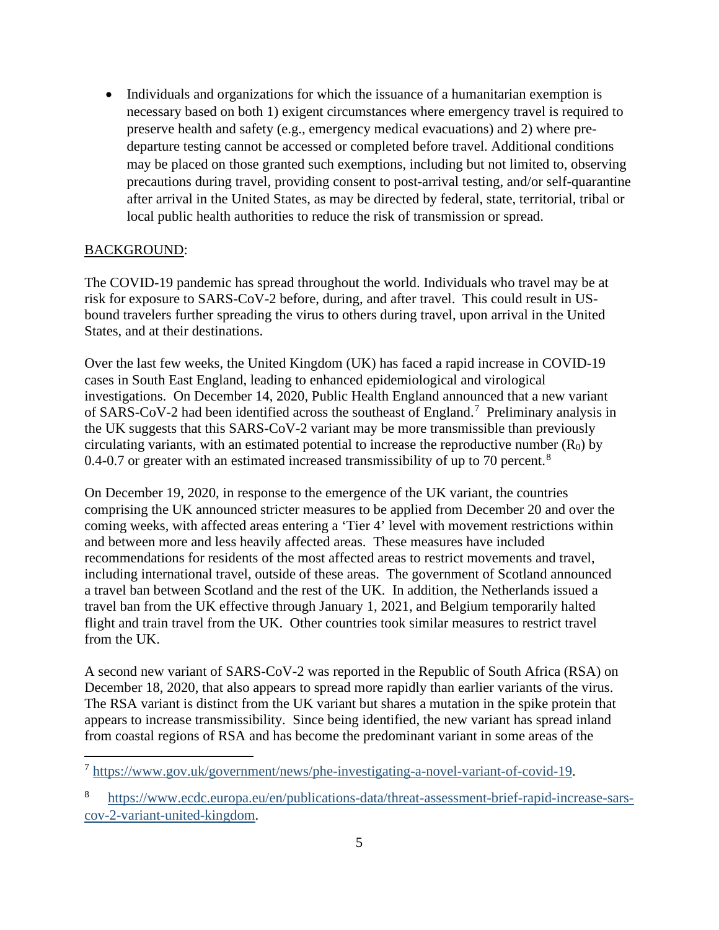• Individuals and organizations for which the issuance of a humanitarian exemption is necessary based on both 1) exigent circumstances where emergency travel is required to preserve health and safety (e.g., emergency medical evacuations) and 2) where predeparture testing cannot be accessed or completed before travel. Additional conditions may be placed on those granted such exemptions, including but not limited to, observing precautions during travel, providing consent to post-arrival testing, and/or self-quarantine after arrival in the United States, as may be directed by federal, state, territorial, tribal or local public health authorities to reduce the risk of transmission or spread.

#### BACKGROUND:

The COVID-19 pandemic has spread throughout the world. Individuals who travel may be at risk for exposure to SARS-CoV-2 before, during, and after travel. This could result in USbound travelers further spreading the virus to others during travel, upon arrival in the United States, and at their destinations.

Over the last few weeks, the United Kingdom (UK) has faced a rapid increase in COVID-19 cases in South East England, leading to enhanced epidemiological and virological investigations. On December 14, 2020, Public Health England announced that a new variant of SARS-CoV-2 had been identified across the southeast of England.[7](#page-4-0) Preliminary analysis in the UK suggests that this SARS-CoV-2 variant may be more transmissible than previously circulating variants, with an estimated potential to increase the reproductive number  $(R_0)$  by 0.4-0.7 or greater with an estimated increased transmissibility of up to 70 percent.<sup>[8](#page-4-1)</sup>

On December 19, 2020, in response to the emergence of the UK variant, the countries comprising the UK announced stricter measures to be applied from December 20 and over the coming weeks, with affected areas entering a 'Tier 4' level with movement restrictions within and between more and less heavily affected areas. These measures have included recommendations for residents of the most affected areas to restrict movements and travel, including international travel, outside of these areas. The government of Scotland announced a travel ban between Scotland and the rest of the UK. In addition, the Netherlands issued a travel ban from the UK effective through January 1, 2021, and Belgium temporarily halted flight and train travel from the UK. Other countries took similar measures to restrict travel from the UK.

A second new variant of SARS-CoV-2 was reported in the Republic of South Africa (RSA) on December 18, 2020, that also appears to spread more rapidly than earlier variants of the virus. The RSA variant is distinct from the UK variant but shares a mutation in the spike protein that appears to increase transmissibility. Since being identified, the new variant has spread inland from coastal regions of RSA and has become the predominant variant in some areas of the

<span id="page-4-0"></span><sup>7</sup> [https://www.gov.uk/government/news/phe-investigating-a-novel-variant-of-covid-19.](https://www.gov.uk/government/news/phe-investigating-a-novel-variant-of-covid-19)

<span id="page-4-1"></span><sup>8</sup> [https://www.ecdc.europa.eu/en/publications-data/threat-assessment-brief-rapid-increase-sars](https://www.ecdc.europa.eu/en/publications-data/threat-assessment-brief-rapid-increase-sars-cov-2-variant-united-kingdom)[cov-2-variant-united-kingdom.](https://www.ecdc.europa.eu/en/publications-data/threat-assessment-brief-rapid-increase-sars-cov-2-variant-united-kingdom)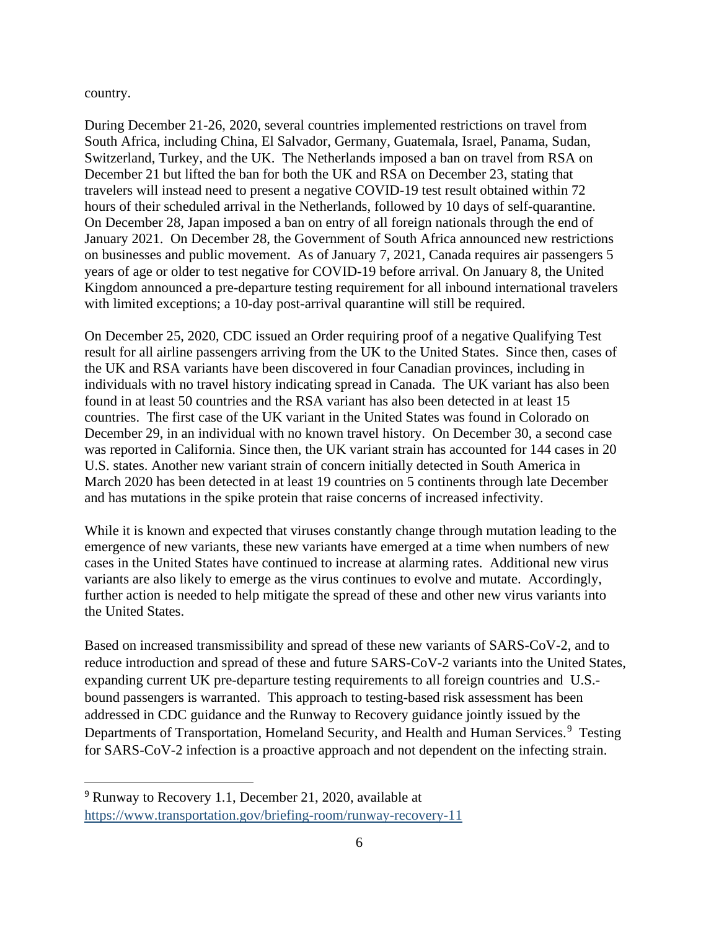country.

During December 21-26, 2020, several countries implemented restrictions on travel from South Africa, including China, El Salvador, Germany, Guatemala, Israel, Panama, Sudan, Switzerland, Turkey, and the UK. The Netherlands imposed a ban on travel from RSA on December 21 but lifted the ban for both the UK and RSA on December 23, stating that travelers will instead need to present a negative COVID-19 test result obtained within 72 hours of their scheduled arrival in the Netherlands, followed by 10 days of self-quarantine. On December 28, Japan imposed a ban on entry of all foreign nationals through the end of January 2021. On December 28, the Government of South Africa announced new restrictions on businesses and public movement. As of January 7, 2021, Canada requires air passengers 5 years of age or older to test negative for COVID-19 before arrival. On January 8, the United Kingdom announced a pre-departure testing requirement for all inbound international travelers with limited exceptions; a 10-day post-arrival quarantine will still be required.

On December 25, 2020, CDC issued an Order requiring proof of a negative Qualifying Test result for all airline passengers arriving from the UK to the United States. Since then, cases of the UK and RSA variants have been discovered in four Canadian provinces, including in individuals with no travel history indicating spread in Canada. The UK variant has also been found in at least 50 countries and the RSA variant has also been detected in at least 15 countries. The first case of the UK variant in the United States was found in Colorado on December 29, in an individual with no known travel history. On December 30, a second case was reported in California. Since then, the UK variant strain has accounted for 144 cases in 20 U.S. states. Another new variant strain of concern initially detected in South America in March 2020 has been detected in at least 19 countries on 5 continents through late December and has mutations in the spike protein that raise concerns of increased infectivity.

While it is known and expected that viruses constantly change through mutation leading to the emergence of new variants, these new variants have emerged at a time when numbers of new cases in the United States have continued to increase at alarming rates. Additional new virus variants are also likely to emerge as the virus continues to evolve and mutate. Accordingly, further action is needed to help mitigate the spread of these and other new virus variants into the United States.

Based on increased transmissibility and spread of these new variants of SARS-CoV-2, and to reduce introduction and spread of these and future SARS-CoV-2 variants into the United States, expanding current UK pre-departure testing requirements to all foreign countries and U.S. bound passengers is warranted. This approach to testing-based risk assessment has been addressed in CDC guidance and the Runway to Recovery guidance jointly issued by the Departments of Transportation, Homeland Security, and Health and Human Services.<sup>[9](#page-5-0)</sup> Testing for SARS-CoV-2 infection is a proactive approach and not dependent on the infecting strain.

<span id="page-5-0"></span><sup>9</sup> Runway to Recovery 1.1, December 21, 2020, available at <https://www.transportation.gov/briefing-room/runway-recovery-11>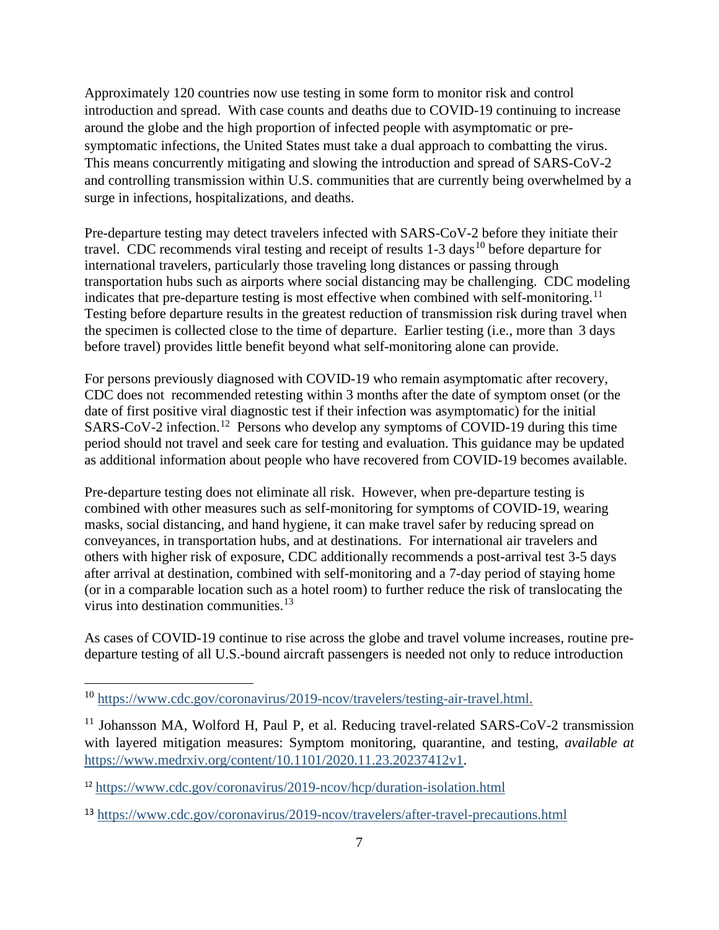Approximately 120 countries now use testing in some form to monitor risk and control introduction and spread. With case counts and deaths due to COVID-19 continuing to increase around the globe and the high proportion of infected people with asymptomatic or presymptomatic infections, the United States must take a dual approach to combatting the virus. This means concurrently mitigating and slowing the introduction and spread of SARS-CoV-2 and controlling transmission within U.S. communities that are currently being overwhelmed by a surge in infections, hospitalizations, and deaths.

Pre-departure testing may detect travelers infected with SARS-CoV-2 before they initiate their travel. CDC recommends viral testing and receipt of results  $1-3$  days<sup>[10](#page-6-0)</sup> before departure for international travelers, particularly those traveling long distances or passing through transportation hubs such as airports where social distancing may be challenging. CDC modeling indicates that pre-departure testing is most effective when combined with self-monitoring.<sup>[11](#page-6-1)</sup> Testing before departure results in the greatest reduction of transmission risk during travel when the specimen is collected close to the time of departure. Earlier testing (i.e., more than 3 days before travel) provides little benefit beyond what self-monitoring alone can provide.

For persons previously diagnosed with COVID-19 who remain asymptomatic after recovery, CDC does not recommended retesting within 3 months after the date of symptom onset (or the date of first positive viral diagnostic test if their infection was asymptomatic) for the initial SARS-CoV-2 infection.[12](#page-6-2) Persons who develop any symptoms of COVID-19 during this time period should not travel and seek care for testing and evaluation. This guidance may be updated as additional information about people who have recovered from COVID-19 becomes available.

Pre-departure testing does not eliminate all risk. However, when pre-departure testing is combined with other measures such as self-monitoring for symptoms of COVID-19, wearing masks, social distancing, and hand hygiene, it can make travel safer by reducing spread on conveyances, in transportation hubs, and at destinations. For international air travelers and others with higher risk of exposure, CDC additionally recommends a post-arrival test 3-5 days after arrival at destination, combined with self-monitoring and a 7-day period of staying home (or in a comparable location such as a hotel room) to further reduce the risk of translocating the virus into destination communities.<sup>[13](#page-6-3)</sup>

As cases of COVID-19 continue to rise across the globe and travel volume increases, routine predeparture testing of all U.S.-bound aircraft passengers is needed not only to reduce introduction

<span id="page-6-0"></span><sup>10</sup> [https://www.cdc.gov/coronavirus/2019-ncov/travelers/testing-air-travel.html.](https://www.cdc.gov/coronavirus/2019-ncov/travelers/testing-air-travel.html)

<span id="page-6-1"></span> $11$  Johansson MA, Wolford H, Paul P, et al. Reducing travel-related SARS-CoV-2 transmission with layered mitigation measures: Symptom monitoring, quarantine, and testing, *available at* [https://www.medrxiv.org/content/10.1101/2020.11.23.20237412v1.](https://www.medrxiv.org/content/10.1101/2020.11.23.20237412v1)

<span id="page-6-2"></span><sup>12</sup> <https://www.cdc.gov/coronavirus/2019-ncov/hcp/duration-isolation.html>

<span id="page-6-3"></span><sup>13</sup> <https://www.cdc.gov/coronavirus/2019-ncov/travelers/after-travel-precautions.html>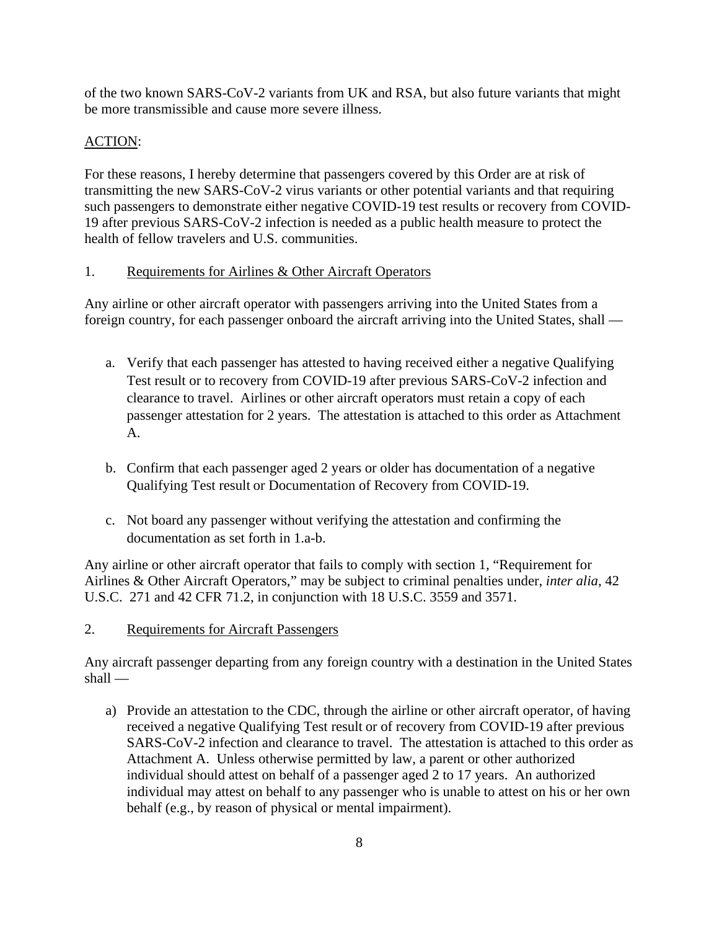of the two known SARS-CoV-2 variants from UK and RSA, but also future variants that might be more transmissible and cause more severe illness.

# ACTION:

For these reasons, I hereby determine that passengers covered by this Order are at risk of transmitting the new SARS-CoV-2 virus variants or other potential variants and that requiring such passengers to demonstrate either negative COVID-19 test results or recovery from COVID-19 after previous SARS-CoV-2 infection is needed as a public health measure to protect the health of fellow travelers and U.S. communities.

#### 1. Requirements for Airlines & Other Aircraft Operators

Any airline or other aircraft operator with passengers arriving into the United States from a foreign country, for each passenger onboard the aircraft arriving into the United States, shall —

- a. Verify that each passenger has attested to having received either a negative Qualifying Test result or to recovery from COVID-19 after previous SARS-CoV-2 infection and clearance to travel. Airlines or other aircraft operators must retain a copy of each passenger attestation for 2 years. The attestation is attached to this order as Attachment A.
- b. Confirm that each passenger aged 2 years or older has documentation of a negative Qualifying Test result or Documentation of Recovery from COVID-19.
- c. Not board any passenger without verifying the attestation and confirming the documentation as set forth in 1.a-b.

Any airline or other aircraft operator that fails to comply with section 1, "Requirement for Airlines & Other Aircraft Operators," may be subject to criminal penalties under, *inter alia*, 42 U.S.C. 271 and 42 CFR 71.2, in conjunction with 18 U.S.C. 3559 and 3571.

## 2. Requirements for Aircraft Passengers

Any aircraft passenger departing from any foreign country with a destination in the United States shall —

a) Provide an attestation to the CDC, through the airline or other aircraft operator, of having received a negative Qualifying Test result or of recovery from COVID-19 after previous SARS-CoV-2 infection and clearance to travel. The attestation is attached to this order as Attachment A. Unless otherwise permitted by law, a parent or other authorized individual should attest on behalf of a passenger aged 2 to 17 years. An authorized individual may attest on behalf to any passenger who is unable to attest on his or her own behalf (e.g., by reason of physical or mental impairment).